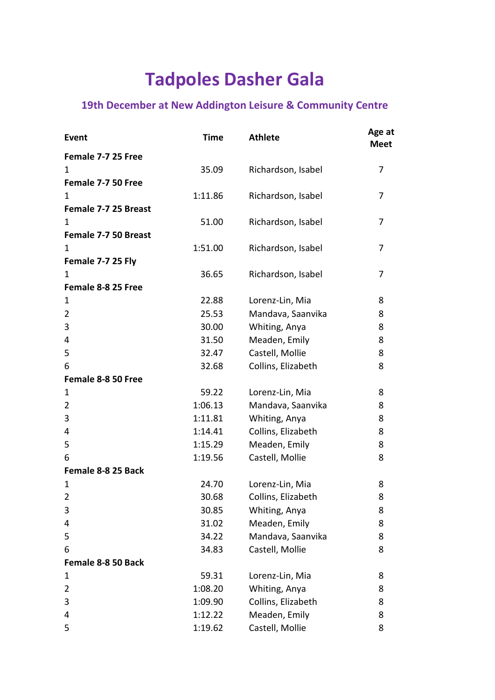## **Tadpoles Dasher Gala**

## **19th December at New Addington Leisure & Community Centre**

| <b>Event</b>         | <b>Time</b> | <b>Athlete</b>     | Age at<br><b>Meet</b> |
|----------------------|-------------|--------------------|-----------------------|
| Female 7-7 25 Free   |             |                    |                       |
| 1                    | 35.09       | Richardson, Isabel | 7                     |
| Female 7-7 50 Free   |             |                    |                       |
| 1                    | 1:11.86     | Richardson, Isabel | $\overline{7}$        |
| Female 7-7 25 Breast |             |                    |                       |
| 1                    | 51.00       | Richardson, Isabel | 7                     |
| Female 7-7 50 Breast |             |                    |                       |
| 1                    | 1:51.00     | Richardson, Isabel | 7                     |
| Female 7-7 25 Fly    |             |                    |                       |
| 1                    | 36.65       | Richardson, Isabel | 7                     |
| Female 8-8 25 Free   |             |                    |                       |
| 1                    | 22.88       | Lorenz-Lin, Mia    | 8                     |
| 2                    | 25.53       | Mandava, Saanvika  | 8                     |
| 3                    | 30.00       | Whiting, Anya      | 8                     |
| 4                    | 31.50       | Meaden, Emily      | 8                     |
| 5                    | 32.47       | Castell, Mollie    | 8                     |
| 6                    | 32.68       | Collins, Elizabeth | 8                     |
| Female 8-8 50 Free   |             |                    |                       |
| 1                    | 59.22       | Lorenz-Lin, Mia    | 8                     |
| $\overline{2}$       | 1:06.13     | Mandava, Saanvika  | 8                     |
| 3                    | 1:11.81     | Whiting, Anya      | 8                     |
| 4                    | 1:14.41     | Collins, Elizabeth | 8                     |
| 5                    | 1:15.29     | Meaden, Emily      | 8                     |
| 6                    | 1:19.56     | Castell, Mollie    | 8                     |
| Female 8-8 25 Back   |             |                    |                       |
| $\mathbf 1$          | 24.70       | Lorenz-Lin, Mia    | 8                     |
| 2                    | 30.68       | Collins, Elizabeth | 8                     |
| 3                    | 30.85       | Whiting, Anya      | 8                     |
| 4                    | 31.02       | Meaden, Emily      | 8                     |
| 5                    | 34.22       | Mandava, Saanvika  | 8                     |
| 6                    | 34.83       | Castell, Mollie    | 8                     |
| Female 8-8 50 Back   |             |                    |                       |
| 1                    | 59.31       | Lorenz-Lin, Mia    | 8                     |
| $\overline{2}$       | 1:08.20     | Whiting, Anya      | 8                     |
| 3                    | 1:09.90     | Collins, Elizabeth | 8                     |
| 4                    | 1:12.22     | Meaden, Emily      | 8                     |
| 5                    | 1:19.62     | Castell, Mollie    | 8                     |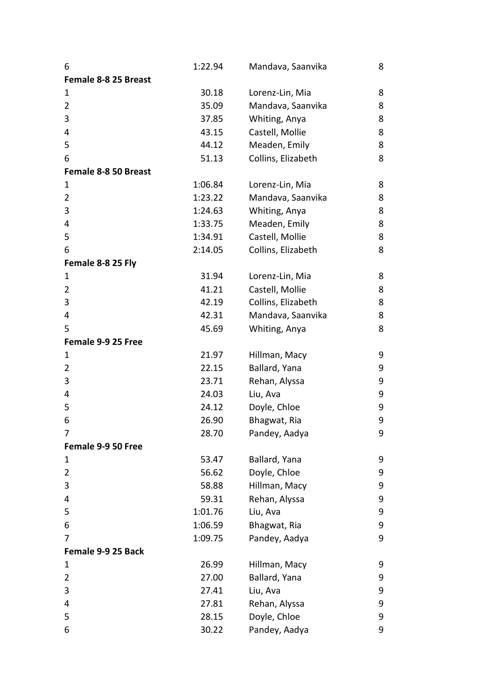| 6                    | 1:22.94 | Mandava, Saanvika  | 8 |
|----------------------|---------|--------------------|---|
| Female 8-8 25 Breast |         |                    |   |
| 1                    | 30.18   | Lorenz-Lin, Mia    | 8 |
| 2                    | 35.09   | Mandava, Saanvika  | 8 |
| 3                    | 37.85   | Whiting, Anya      | 8 |
| 4                    | 43.15   | Castell, Mollie    | 8 |
| 5                    | 44.12   | Meaden, Emily      | 8 |
| 6                    | 51.13   | Collins, Elizabeth | 8 |
| Female 8-8 50 Breast |         |                    |   |
| 1                    | 1:06.84 | Lorenz-Lin, Mia    | 8 |
| $\overline{2}$       | 1:23.22 | Mandava, Saanvika  | 8 |
| 3                    | 1:24.63 | Whiting, Anya      | 8 |
| 4                    | 1:33.75 | Meaden, Emily      | 8 |
| 5                    | 1:34.91 | Castell, Mollie    | 8 |
| 6                    | 2:14.05 | Collins, Elizabeth | 8 |
| Female 8-8 25 Fly    |         |                    |   |
| 1                    | 31.94   | Lorenz-Lin, Mia    | 8 |
| 2                    | 41.21   | Castell, Mollie    | 8 |
| 3                    | 42.19   | Collins, Elizabeth | 8 |
| 4                    | 42.31   | Mandava, Saanvika  | 8 |
| 5                    | 45.69   | Whiting, Anya      | 8 |
| Female 9-9 25 Free   |         |                    |   |
| 1                    | 21.97   | Hillman, Macy      | 9 |
| 2                    | 22.15   | Ballard, Yana      | 9 |
| 3                    | 23.71   | Rehan, Alyssa      | 9 |
| 4                    | 24.03   | Liu, Ava           | 9 |
| 5                    | 24.12   | Doyle, Chloe       | 9 |
| 6                    | 26.90   | Bhagwat, Ria       | 9 |
|                      | 28.70   | Pandey, Aadya      | 9 |
| Female 9-9 50 Free   |         |                    |   |
| 1                    | 53.47   | Ballard, Yana      | 9 |
| 2                    | 56.62   | Doyle, Chloe       | 9 |
| 3                    | 58.88   | Hillman, Macy      | 9 |
| 4                    | 59.31   | Rehan, Alyssa      | 9 |
| 5                    | 1:01.76 | Liu, Ava           | 9 |
| 6                    | 1:06.59 | Bhagwat, Ria       | 9 |
| 7                    | 1:09.75 | Pandey, Aadya      | 9 |
| Female 9-9 25 Back   |         |                    |   |
| 1                    | 26.99   | Hillman, Macy      | 9 |
| 2                    | 27.00   | Ballard, Yana      | 9 |
| 3                    | 27.41   | Liu, Ava           | 9 |
| 4                    | 27.81   | Rehan, Alyssa      | 9 |
| 5                    | 28.15   | Doyle, Chloe       | 9 |
| 6                    | 30.22   | Pandey, Aadya      | 9 |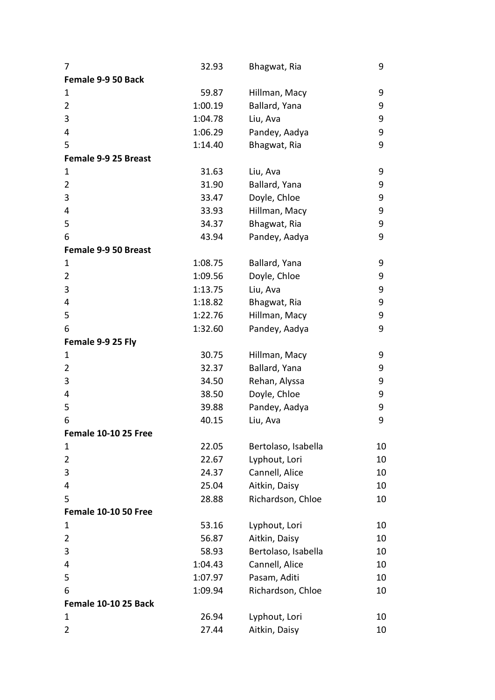| 7                           | 32.93   | Bhagwat, Ria        | 9  |
|-----------------------------|---------|---------------------|----|
| Female 9-9 50 Back          |         |                     |    |
| 1                           | 59.87   | Hillman, Macy       | 9  |
| 2                           | 1:00.19 | Ballard, Yana       | 9  |
| 3                           | 1:04.78 | Liu, Ava            | 9  |
| 4                           | 1:06.29 | Pandey, Aadya       | 9  |
| 5                           | 1:14.40 | Bhagwat, Ria        | 9  |
| Female 9-9 25 Breast        |         |                     |    |
| 1                           | 31.63   | Liu, Ava            | 9  |
| 2                           | 31.90   | Ballard, Yana       | 9  |
| 3                           | 33.47   | Doyle, Chloe        | 9  |
| 4                           | 33.93   | Hillman, Macy       | 9  |
| 5                           | 34.37   | Bhagwat, Ria        | 9  |
| 6                           | 43.94   | Pandey, Aadya       | 9  |
| Female 9-9 50 Breast        |         |                     |    |
| 1                           | 1:08.75 | Ballard, Yana       | 9  |
| 2                           | 1:09.56 | Doyle, Chloe        | 9  |
| 3                           | 1:13.75 | Liu, Ava            | 9  |
| 4                           | 1:18.82 | Bhagwat, Ria        | 9  |
| 5                           | 1:22.76 | Hillman, Macy       | 9  |
| 6                           | 1:32.60 | Pandey, Aadya       | 9  |
| Female 9-9 25 Fly           |         |                     |    |
| 1                           | 30.75   | Hillman, Macy       | 9  |
| 2                           | 32.37   | Ballard, Yana       | 9  |
| 3                           | 34.50   | Rehan, Alyssa       | 9  |
| 4                           | 38.50   | Doyle, Chloe        | 9  |
| 5                           | 39.88   | Pandey, Aadya       | 9  |
| 6                           | 40.15   | Liu, Ava            | 9  |
| Female 10-10 25 Free        |         |                     |    |
| 1                           | 22.05   | Bertolaso, Isabella | 10 |
| $\overline{2}$              | 22.67   | Lyphout, Lori       | 10 |
| 3                           | 24.37   | Cannell, Alice      | 10 |
| 4                           | 25.04   | Aitkin, Daisy       | 10 |
| 5                           | 28.88   | Richardson, Chloe   | 10 |
| <b>Female 10-10 50 Free</b> |         |                     |    |
| 1                           | 53.16   | Lyphout, Lori       | 10 |
| $\overline{2}$              | 56.87   | Aitkin, Daisy       | 10 |
| 3                           | 58.93   | Bertolaso, Isabella | 10 |
| 4                           | 1:04.43 | Cannell, Alice      | 10 |
| 5                           | 1:07.97 | Pasam, Aditi        | 10 |
| 6                           | 1:09.94 | Richardson, Chloe   | 10 |
| Female 10-10 25 Back        |         |                     |    |
| 1                           | 26.94   | Lyphout, Lori       | 10 |
| $\overline{2}$              | 27.44   | Aitkin, Daisy       | 10 |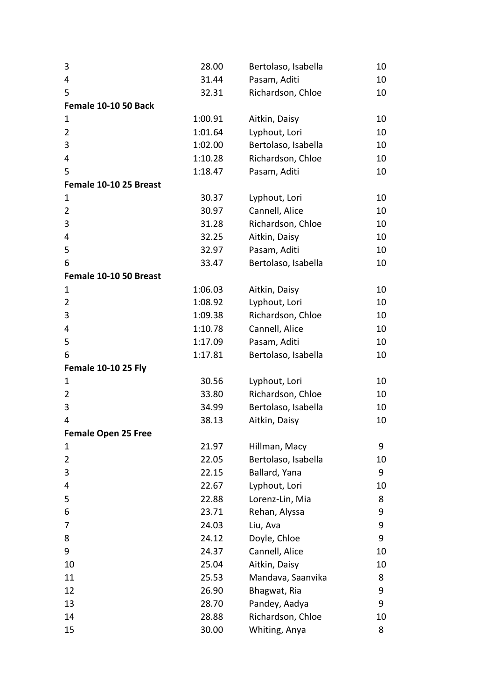| 3                           | 28.00   | Bertolaso, Isabella | 10 |
|-----------------------------|---------|---------------------|----|
| 4                           | 31.44   | Pasam, Aditi        | 10 |
| 5                           | 32.31   | Richardson, Chloe   | 10 |
| <b>Female 10-10 50 Back</b> |         |                     |    |
| 1                           | 1:00.91 | Aitkin, Daisy       | 10 |
| $\overline{2}$              | 1:01.64 | Lyphout, Lori       | 10 |
| 3                           | 1:02.00 | Bertolaso, Isabella | 10 |
| 4                           | 1:10.28 | Richardson, Chloe   | 10 |
| 5                           | 1:18.47 | Pasam, Aditi        | 10 |
| Female 10-10 25 Breast      |         |                     |    |
| 1                           | 30.37   | Lyphout, Lori       | 10 |
| 2                           | 30.97   | Cannell, Alice      | 10 |
| 3                           | 31.28   | Richardson, Chloe   | 10 |
| 4                           | 32.25   | Aitkin, Daisy       | 10 |
| 5                           | 32.97   | Pasam, Aditi        | 10 |
| 6                           | 33.47   | Bertolaso, Isabella | 10 |
| Female 10-10 50 Breast      |         |                     |    |
| $\mathbf 1$                 | 1:06.03 | Aitkin, Daisy       | 10 |
| $\overline{2}$              | 1:08.92 | Lyphout, Lori       | 10 |
| 3                           | 1:09.38 | Richardson, Chloe   | 10 |
| 4                           | 1:10.78 | Cannell, Alice      | 10 |
| 5                           | 1:17.09 | Pasam, Aditi        | 10 |
| 6                           | 1:17.81 | Bertolaso, Isabella | 10 |
| <b>Female 10-10 25 Fly</b>  |         |                     |    |
| $\mathbf 1$                 | 30.56   | Lyphout, Lori       | 10 |
| $\overline{2}$              | 33.80   | Richardson, Chloe   | 10 |
| 3                           | 34.99   | Bertolaso, Isabella | 10 |
| 4                           | 38.13   | Aitkin, Daisy       | 10 |
| <b>Female Open 25 Free</b>  |         |                     |    |
| 1                           | 21.97   | Hillman, Macy       | 9  |
| 2                           | 22.05   | Bertolaso, Isabella | 10 |
| 3                           | 22.15   | Ballard, Yana       | 9  |
| 4                           | 22.67   | Lyphout, Lori       | 10 |
| 5                           | 22.88   | Lorenz-Lin, Mia     | 8  |
| 6                           | 23.71   | Rehan, Alyssa       | 9  |
| 7                           | 24.03   | Liu, Ava            | 9  |
| 8                           | 24.12   | Doyle, Chloe        | 9  |
| 9                           | 24.37   | Cannell, Alice      | 10 |
| 10                          | 25.04   | Aitkin, Daisy       | 10 |
| 11                          | 25.53   | Mandava, Saanvika   | 8  |
| 12                          | 26.90   | Bhagwat, Ria        | 9  |
| 13                          | 28.70   | Pandey, Aadya       | 9  |
| 14                          | 28.88   | Richardson, Chloe   | 10 |
| 15                          | 30.00   | Whiting, Anya       | 8  |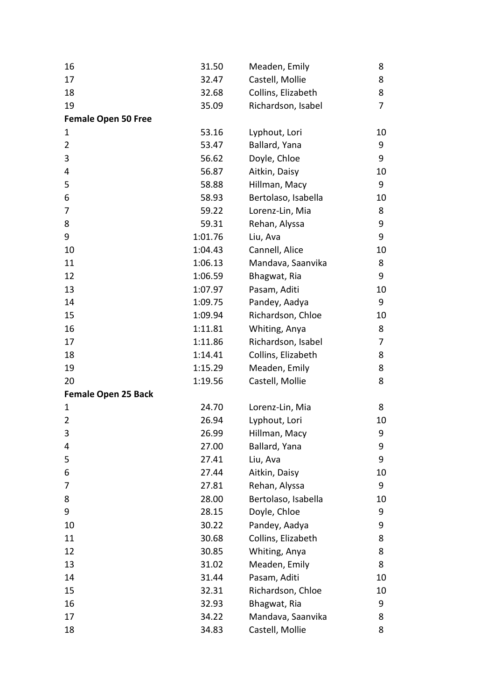| 16                         | 31.50   | Meaden, Emily       | 8  |
|----------------------------|---------|---------------------|----|
| 17                         | 32.47   | Castell, Mollie     | 8  |
| 18                         | 32.68   | Collins, Elizabeth  | 8  |
| 19                         | 35.09   | Richardson, Isabel  | 7  |
| <b>Female Open 50 Free</b> |         |                     |    |
| 1                          | 53.16   | Lyphout, Lori       | 10 |
| 2                          | 53.47   | Ballard, Yana       | 9  |
| 3                          | 56.62   | Doyle, Chloe        | 9  |
| 4                          | 56.87   | Aitkin, Daisy       | 10 |
| 5                          | 58.88   | Hillman, Macy       | 9  |
| 6                          | 58.93   | Bertolaso, Isabella | 10 |
| 7                          | 59.22   | Lorenz-Lin, Mia     | 8  |
| 8                          | 59.31   | Rehan, Alyssa       | 9  |
| 9                          | 1:01.76 | Liu, Ava            | 9  |
| 10                         | 1:04.43 | Cannell, Alice      | 10 |
| 11                         | 1:06.13 | Mandava, Saanvika   | 8  |
| 12                         | 1:06.59 | Bhagwat, Ria        | 9  |
| 13                         | 1:07.97 | Pasam, Aditi        | 10 |
| 14                         | 1:09.75 | Pandey, Aadya       | 9  |
| 15                         | 1:09.94 | Richardson, Chloe   | 10 |
| 16                         | 1:11.81 | Whiting, Anya       | 8  |
| 17                         | 1:11.86 | Richardson, Isabel  | 7  |
| 18                         | 1:14.41 | Collins, Elizabeth  | 8  |
| 19                         | 1:15.29 | Meaden, Emily       | 8  |
| 20                         | 1:19.56 | Castell, Mollie     | 8  |
| <b>Female Open 25 Back</b> |         |                     |    |
| $\mathbf 1$                | 24.70   | Lorenz-Lin, Mia     | 8  |
| $\overline{2}$             | 26.94   | Lyphout, Lori       | 10 |
| 3                          | 26.99   | Hillman, Macy       | 9  |
| 4                          | 27.00   | Ballard, Yana       | 9  |
| 5                          | 27.41   | Liu, Ava            | 9  |
| 6                          | 27.44   | Aitkin, Daisy       | 10 |
| 7                          | 27.81   | Rehan, Alyssa       | 9  |
| 8                          | 28.00   | Bertolaso, Isabella | 10 |
| 9                          | 28.15   | Doyle, Chloe        | 9  |
| 10                         | 30.22   | Pandey, Aadya       | 9  |
| 11                         | 30.68   | Collins, Elizabeth  | 8  |
| 12                         | 30.85   | Whiting, Anya       | 8  |
| 13                         | 31.02   | Meaden, Emily       | 8  |
| 14                         | 31.44   | Pasam, Aditi        | 10 |
| 15                         | 32.31   | Richardson, Chloe   | 10 |
| 16                         | 32.93   | Bhagwat, Ria        | 9  |
| 17                         | 34.22   | Mandava, Saanvika   | 8  |
| 18                         | 34.83   | Castell, Mollie     | 8  |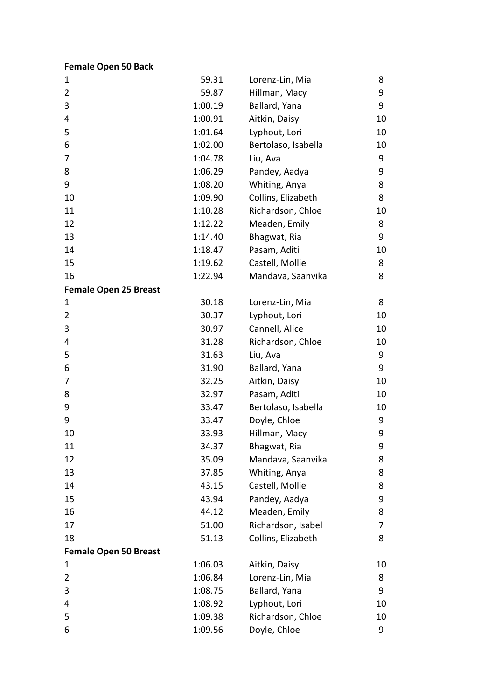**Female Open 50 Back**

| 1                            | 59.31   | Lorenz-Lin, Mia     | 8  |
|------------------------------|---------|---------------------|----|
| $\overline{2}$               | 59.87   | Hillman, Macy       | 9  |
| 3                            | 1:00.19 | Ballard, Yana       | 9  |
| 4                            | 1:00.91 | Aitkin, Daisy       | 10 |
| 5                            | 1:01.64 | Lyphout, Lori       | 10 |
| 6                            | 1:02.00 | Bertolaso, Isabella | 10 |
| 7                            | 1:04.78 | Liu, Ava            | 9  |
| 8                            | 1:06.29 | Pandey, Aadya       | 9  |
| 9                            | 1:08.20 | Whiting, Anya       | 8  |
| 10                           | 1:09.90 | Collins, Elizabeth  | 8  |
| 11                           | 1:10.28 | Richardson, Chloe   | 10 |
| 12                           | 1:12.22 | Meaden, Emily       | 8  |
| 13                           | 1:14.40 | Bhagwat, Ria        | 9  |
| 14                           | 1:18.47 | Pasam, Aditi        | 10 |
| 15                           | 1:19.62 | Castell, Mollie     | 8  |
| 16                           | 1:22.94 | Mandava, Saanvika   | 8  |
| <b>Female Open 25 Breast</b> |         |                     |    |
| 1                            | 30.18   | Lorenz-Lin, Mia     | 8  |
| 2                            | 30.37   | Lyphout, Lori       | 10 |
| 3                            | 30.97   | Cannell, Alice      | 10 |
| 4                            | 31.28   | Richardson, Chloe   | 10 |
| 5                            | 31.63   | Liu, Ava            | 9  |
| 6                            | 31.90   | Ballard, Yana       | 9  |
| 7                            | 32.25   | Aitkin, Daisy       | 10 |
| 8                            | 32.97   | Pasam, Aditi        | 10 |
| 9                            | 33.47   | Bertolaso, Isabella | 10 |
| 9                            | 33.47   | Doyle, Chloe        | 9  |
| 10                           | 33.93   | Hillman, Macy       | 9  |
| 11                           | 34.37   | Bhagwat, Ria        | 9  |
| 12                           | 35.09   | Mandava, Saanvika   | 8  |
| 13                           | 37.85   | Whiting, Anya       | 8  |
| 14                           | 43.15   | Castell, Mollie     | 8  |
| 15                           | 43.94   | Pandey, Aadya       | 9  |
| 16                           | 44.12   | Meaden, Emily       | 8  |
| 17                           | 51.00   | Richardson, Isabel  | 7  |
| 18                           | 51.13   | Collins, Elizabeth  | 8  |
| <b>Female Open 50 Breast</b> |         |                     |    |
| 1                            | 1:06.03 | Aitkin, Daisy       | 10 |
| 2                            | 1:06.84 | Lorenz-Lin, Mia     | 8  |
| 3                            | 1:08.75 | Ballard, Yana       | 9  |
| 4                            | 1:08.92 | Lyphout, Lori       | 10 |
| 5                            | 1:09.38 | Richardson, Chloe   | 10 |
| 6                            | 1:09.56 | Doyle, Chloe        | 9  |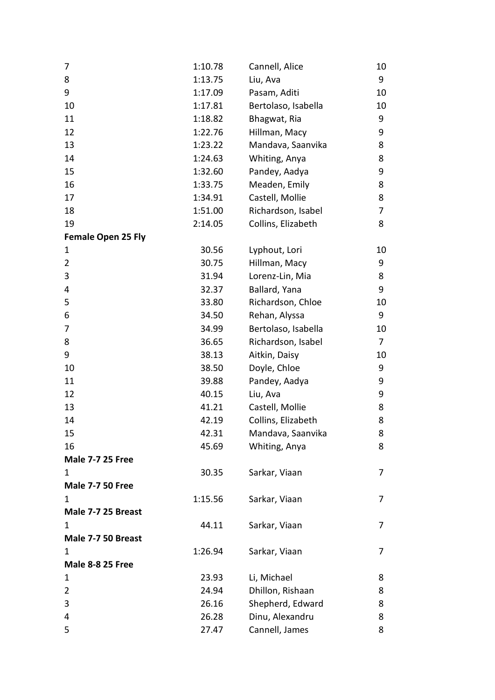| 7                         | 1:10.78 | Cannell, Alice      | 10 |
|---------------------------|---------|---------------------|----|
| 8                         | 1:13.75 | Liu, Ava            | 9  |
| 9                         | 1:17.09 | Pasam, Aditi        | 10 |
| 10                        | 1:17.81 | Bertolaso, Isabella | 10 |
| 11                        | 1:18.82 | Bhagwat, Ria        | 9  |
| 12                        | 1:22.76 | Hillman, Macy       | 9  |
| 13                        | 1:23.22 | Mandava, Saanvika   | 8  |
| 14                        | 1:24.63 | Whiting, Anya       | 8  |
| 15                        | 1:32.60 | Pandey, Aadya       | 9  |
| 16                        | 1:33.75 | Meaden, Emily       | 8  |
| 17                        | 1:34.91 | Castell, Mollie     | 8  |
| 18                        | 1:51.00 | Richardson, Isabel  | 7  |
| 19                        | 2:14.05 | Collins, Elizabeth  | 8  |
| <b>Female Open 25 Fly</b> |         |                     |    |
| 1                         | 30.56   | Lyphout, Lori       | 10 |
| $\overline{2}$            | 30.75   | Hillman, Macy       | 9  |
| 3                         | 31.94   | Lorenz-Lin, Mia     | 8  |
| 4                         | 32.37   | Ballard, Yana       | 9  |
| 5                         | 33.80   | Richardson, Chloe   | 10 |
| 6                         | 34.50   | Rehan, Alyssa       | 9  |
| 7                         | 34.99   | Bertolaso, Isabella | 10 |
| 8                         | 36.65   | Richardson, Isabel  | 7  |
| 9                         | 38.13   | Aitkin, Daisy       | 10 |
| 10                        | 38.50   | Doyle, Chloe        | 9  |
| 11                        | 39.88   | Pandey, Aadya       | 9  |
| 12                        | 40.15   | Liu, Ava            | 9  |
| 13                        | 41.21   | Castell, Mollie     | 8  |
| 14                        | 42.19   | Collins, Elizabeth  | 8  |
| 15                        | 42.31   | Mandava, Saanvika   | 8  |
| 16                        | 45.69   | Whiting, Anya       | 8  |
| <b>Male 7-7 25 Free</b>   |         |                     |    |
| 1                         | 30.35   | Sarkar, Viaan       | 7  |
| <b>Male 7-7 50 Free</b>   |         |                     |    |
| 1                         | 1:15.56 | Sarkar, Viaan       | 7  |
| Male 7-7 25 Breast        |         |                     |    |
| 1                         | 44.11   | Sarkar, Viaan       | 7  |
| Male 7-7 50 Breast        |         |                     |    |
| 1                         | 1:26.94 | Sarkar, Viaan       | 7  |
| <b>Male 8-8 25 Free</b>   |         |                     |    |
| 1                         | 23.93   | Li, Michael         | 8  |
| 2                         | 24.94   | Dhillon, Rishaan    | 8  |
| 3                         | 26.16   | Shepherd, Edward    | 8  |
| 4                         | 26.28   | Dinu, Alexandru     | 8  |
| 5                         | 27.47   | Cannell, James      | 8  |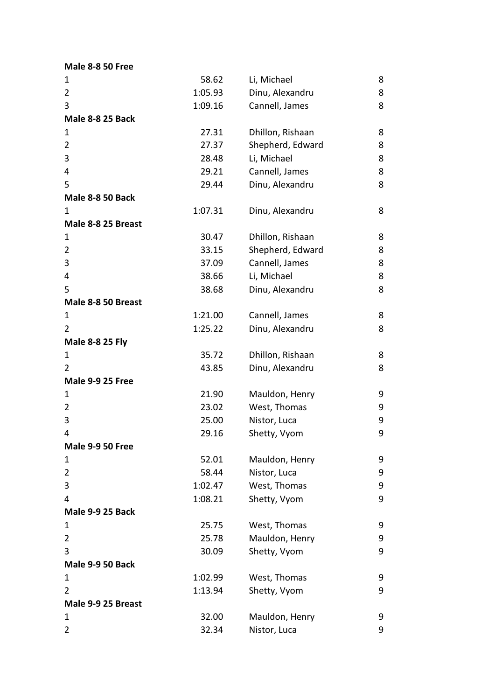**Male 8 -8 50 Free**

| $\mathbf 1$             | 58.62   | Li, Michael      | 8 |
|-------------------------|---------|------------------|---|
| $\overline{2}$          | 1:05.93 | Dinu, Alexandru  | 8 |
| 3                       | 1:09.16 | Cannell, James   | 8 |
| <b>Male 8-8 25 Back</b> |         |                  |   |
| 1                       | 27.31   | Dhillon, Rishaan | 8 |
| $\overline{2}$          | 27.37   | Shepherd, Edward | 8 |
| 3                       | 28.48   | Li, Michael      | 8 |
| 4                       | 29.21   | Cannell, James   | 8 |
| 5                       | 29.44   | Dinu, Alexandru  | 8 |
| <b>Male 8-8 50 Back</b> |         |                  |   |
| 1                       | 1:07.31 | Dinu, Alexandru  | 8 |
| Male 8-8 25 Breast      |         |                  |   |
| 1                       | 30.47   | Dhillon, Rishaan | 8 |
| $\overline{2}$          | 33.15   | Shepherd, Edward | 8 |
| 3                       | 37.09   | Cannell, James   | 8 |
| 4                       | 38.66   | Li, Michael      | 8 |
| 5                       | 38.68   | Dinu, Alexandru  | 8 |
| Male 8-8 50 Breast      |         |                  |   |
| $\mathbf 1$             | 1:21.00 | Cannell, James   | 8 |
| $\overline{2}$          | 1:25.22 | Dinu, Alexandru  | 8 |
| <b>Male 8-8 25 Fly</b>  |         |                  |   |
| 1                       | 35.72   | Dhillon, Rishaan | 8 |
| 2                       | 43.85   | Dinu, Alexandru  | 8 |
| <b>Male 9-9 25 Free</b> |         |                  |   |
| 1                       | 21.90   | Mauldon, Henry   | 9 |
| $\overline{2}$          | 23.02   | West, Thomas     | 9 |
| 3                       | 25.00   | Nistor, Luca     | 9 |
| 4                       | 29.16   | Shetty, Vyom     | 9 |
| <b>Male 9-9 50 Free</b> |         |                  |   |
| 1                       | 52.01   | Mauldon, Henry   | 9 |
| $\overline{2}$          | 58.44   | Nistor, Luca     | 9 |
| 3                       | 1:02.47 | West, Thomas     | 9 |
| 4                       | 1:08.21 | Shetty, Vyom     | 9 |
| Male 9-9 25 Back        |         |                  |   |
| $\mathbf 1$             | 25.75   | West, Thomas     | 9 |
| 2                       | 25.78   | Mauldon, Henry   | 9 |
| 3                       | 30.09   | Shetty, Vyom     | 9 |
| Male 9-9 50 Back        |         |                  |   |
| 1                       | 1:02.99 | West, Thomas     | 9 |
| $\overline{2}$          | 1:13.94 | Shetty, Vyom     | 9 |
| Male 9-9 25 Breast      |         |                  |   |
| 1                       | 32.00   | Mauldon, Henry   | 9 |
| $\overline{2}$          | 32.34   | Nistor, Luca     | 9 |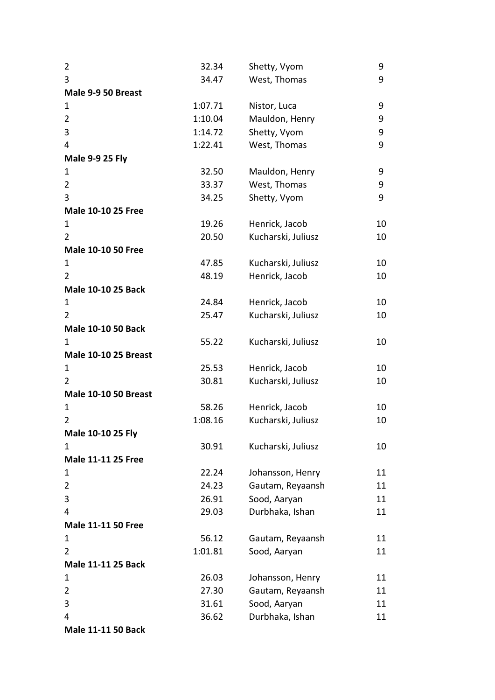| $\overline{2}$              | 32.34   | Shetty, Vyom       | 9  |
|-----------------------------|---------|--------------------|----|
| 3                           | 34.47   | West, Thomas       | 9  |
| Male 9-9 50 Breast          |         |                    |    |
| 1                           | 1:07.71 | Nistor, Luca       | 9  |
| $\overline{2}$              | 1:10.04 | Mauldon, Henry     | 9  |
| 3                           | 1:14.72 | Shetty, Vyom       | 9  |
| 4                           | 1:22.41 | West, Thomas       | 9  |
| <b>Male 9-9 25 Fly</b>      |         |                    |    |
| $\mathbf{1}$                | 32.50   | Mauldon, Henry     | 9  |
| $\overline{2}$              | 33.37   | West, Thomas       | 9  |
| 3                           | 34.25   | Shetty, Vyom       | 9  |
| <b>Male 10-10 25 Free</b>   |         |                    |    |
| 1                           | 19.26   | Henrick, Jacob     | 10 |
| $\overline{2}$              | 20.50   | Kucharski, Juliusz | 10 |
| <b>Male 10-10 50 Free</b>   |         |                    |    |
| 1                           | 47.85   | Kucharski, Juliusz | 10 |
| $\overline{2}$              | 48.19   | Henrick, Jacob     | 10 |
| <b>Male 10-10 25 Back</b>   |         |                    |    |
| 1                           | 24.84   | Henrick, Jacob     | 10 |
| $\overline{2}$              | 25.47   | Kucharski, Juliusz | 10 |
| <b>Male 10-10 50 Back</b>   |         |                    |    |
| $\mathbf{1}$                | 55.22   | Kucharski, Juliusz | 10 |
| <b>Male 10-10 25 Breast</b> |         |                    |    |
| 1                           | 25.53   | Henrick, Jacob     | 10 |
| $\overline{2}$              | 30.81   | Kucharski, Juliusz | 10 |
| <b>Male 10-10 50 Breast</b> |         |                    |    |
| $\mathbf{1}$                | 58.26   | Henrick, Jacob     | 10 |
| $\overline{2}$              | 1:08.16 | Kucharski, Juliusz | 10 |
| Male 10-10 25 Fly           |         |                    |    |
| 1                           | 30.91   | Kucharski, Juliusz | 10 |
| <b>Male 11-11 25 Free</b>   |         |                    |    |
| 1                           | 22.24   | Johansson, Henry   | 11 |
| $\overline{2}$              | 24.23   | Gautam, Reyaansh   | 11 |
| 3                           | 26.91   | Sood, Aaryan       | 11 |
| 4                           | 29.03   | Durbhaka, Ishan    | 11 |
| <b>Male 11-11 50 Free</b>   |         |                    |    |
| 1                           | 56.12   | Gautam, Reyaansh   | 11 |
| $\overline{2}$              | 1:01.81 | Sood, Aaryan       | 11 |
| <b>Male 11-11 25 Back</b>   |         |                    |    |
| 1                           | 26.03   | Johansson, Henry   | 11 |
| $\overline{2}$              | 27.30   | Gautam, Reyaansh   | 11 |
| 3                           | 31.61   | Sood, Aaryan       | 11 |
| 4                           | 36.62   | Durbhaka, Ishan    | 11 |
| <b>Male 11-11 50 Back</b>   |         |                    |    |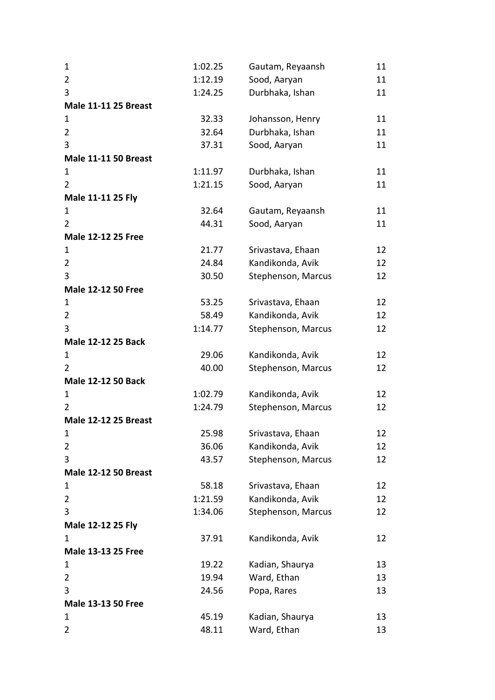| $\mathbf 1$                    | 1:02.25 | Gautam, Reyaansh   | 11 |
|--------------------------------|---------|--------------------|----|
| $\overline{2}$                 | 1:12.19 | Sood, Aaryan       | 11 |
| 3                              | 1:24.25 | Durbhaka, Ishan    | 11 |
| <b>Male 11-11 25 Breast</b>    |         |                    |    |
| 1                              | 32.33   | Johansson, Henry   | 11 |
| $\overline{2}$                 | 32.64   | Durbhaka, Ishan    | 11 |
| 3                              | 37.31   | Sood, Aaryan       | 11 |
| <b>Male 11-11 50 Breast</b>    |         |                    |    |
| 1                              | 1:11.97 | Durbhaka, Ishan    | 11 |
| 2                              | 1:21.15 | Sood, Aaryan       | 11 |
| Male 11-11 25 Fly              |         |                    |    |
| 1                              | 32.64   | Gautam, Reyaansh   | 11 |
| 2                              | 44.31   | Sood, Aaryan       | 11 |
| <b>Male 12-12 25 Free</b>      |         |                    |    |
| 1                              | 21.77   | Srivastava, Ehaan  | 12 |
| $\overline{2}$                 | 24.84   | Kandikonda, Avik   | 12 |
| 3                              | 30.50   | Stephenson, Marcus | 12 |
| <b>Male 12-12 50 Free</b>      |         |                    |    |
| $\mathbf{1}$                   | 53.25   | Srivastava, Ehaan  | 12 |
| $\overline{2}$                 | 58.49   | Kandikonda, Avik   | 12 |
| 3                              | 1:14.77 | Stephenson, Marcus | 12 |
| Male 12-12 25 Back             |         |                    |    |
| 1                              | 29.06   | Kandikonda, Avik   | 12 |
| $\overline{2}$                 | 40.00   | Stephenson, Marcus | 12 |
| <b>Male 12-12 50 Back</b>      |         |                    |    |
| 1                              | 1:02.79 | Kandikonda, Avik   | 12 |
| $\overline{2}$                 | 1:24.79 | Stephenson, Marcus | 12 |
| <b>Male 12-12 25 Breast</b>    |         |                    |    |
| 1                              | 25.98   | Srivastava, Ehaan  | 12 |
| $\overline{2}$                 | 36.06   | Kandikonda, Avik   | 12 |
| 3                              | 43.57   | Stephenson, Marcus | 12 |
| <b>Male 12-12 50 Breast</b>    |         |                    |    |
| $\mathbf 1$                    | 58.18   | Srivastava, Ehaan  | 12 |
| $\overline{2}$                 | 1:21.59 | Kandikonda, Avik   | 12 |
| 3                              | 1:34.06 | Stephenson, Marcus | 12 |
| Male 12-12 25 Fly              |         |                    |    |
| 1                              | 37.91   | Kandikonda, Avik   | 12 |
| <b>Male 13-13 25 Free</b>      |         |                    |    |
| 1<br>$\overline{2}$            | 19.22   | Kadian, Shaurya    | 13 |
|                                | 19.94   | Ward, Ethan        | 13 |
| 3                              | 24.56   | Popa, Rares        | 13 |
| <b>Male 13-13 50 Free</b><br>1 |         |                    |    |
|                                | 45.19   | Kadian, Shaurya    | 13 |
| 2                              | 48.11   | Ward, Ethan        | 13 |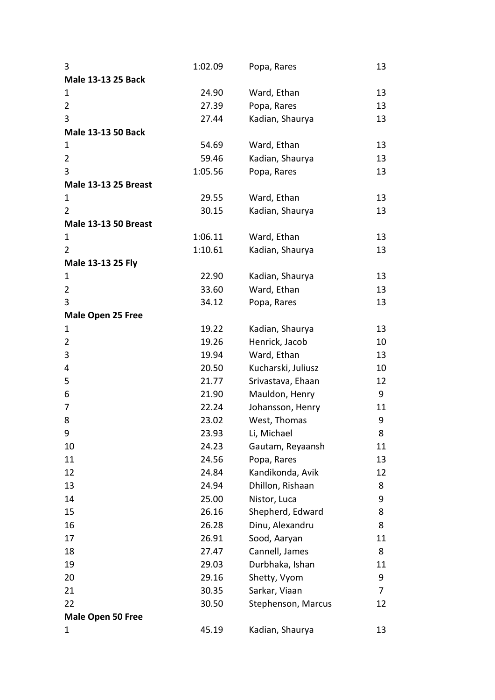| 3                           | 1:02.09 | Popa, Rares        | 13 |
|-----------------------------|---------|--------------------|----|
| <b>Male 13-13 25 Back</b>   |         |                    |    |
| $\mathbf 1$                 | 24.90   | Ward, Ethan        | 13 |
| $\overline{2}$              | 27.39   | Popa, Rares        | 13 |
| 3                           | 27.44   | Kadian, Shaurya    | 13 |
| <b>Male 13-13 50 Back</b>   |         |                    |    |
| 1                           | 54.69   | Ward, Ethan        | 13 |
| $\overline{2}$              | 59.46   | Kadian, Shaurya    | 13 |
| 3                           | 1:05.56 | Popa, Rares        | 13 |
| <b>Male 13-13 25 Breast</b> |         |                    |    |
| $\mathbf 1$                 | 29.55   | Ward, Ethan        | 13 |
| $\overline{2}$              | 30.15   | Kadian, Shaurya    | 13 |
| <b>Male 13-13 50 Breast</b> |         |                    |    |
| 1                           | 1:06.11 | Ward, Ethan        | 13 |
| $\overline{2}$              | 1:10.61 | Kadian, Shaurya    | 13 |
| Male 13-13 25 Fly           |         |                    |    |
| 1                           | 22.90   | Kadian, Shaurya    | 13 |
| 2                           | 33.60   | Ward, Ethan        | 13 |
| 3                           | 34.12   | Popa, Rares        | 13 |
| <b>Male Open 25 Free</b>    |         |                    |    |
| 1                           | 19.22   | Kadian, Shaurya    | 13 |
| 2                           | 19.26   | Henrick, Jacob     | 10 |
| 3                           | 19.94   | Ward, Ethan        | 13 |
| 4                           | 20.50   | Kucharski, Juliusz | 10 |
| 5                           | 21.77   | Srivastava, Ehaan  | 12 |
| 6                           | 21.90   | Mauldon, Henry     | 9  |
| 7                           | 22.24   | Johansson, Henry   | 11 |
| 8                           | 23.02   | West, Thomas       | 9  |
| 9                           | 23.93   | Li, Michael        | 8  |
| 10                          | 24.23   | Gautam, Reyaansh   | 11 |
| 11                          | 24.56   | Popa, Rares        | 13 |
| 12                          | 24.84   | Kandikonda, Avik   | 12 |
| 13                          | 24.94   | Dhillon, Rishaan   | 8  |
| 14                          | 25.00   | Nistor, Luca       | 9  |
| 15                          | 26.16   | Shepherd, Edward   | 8  |
| 16                          | 26.28   | Dinu, Alexandru    | 8  |
| 17                          | 26.91   | Sood, Aaryan       | 11 |
| 18                          | 27.47   | Cannell, James     | 8  |
| 19                          | 29.03   | Durbhaka, Ishan    | 11 |
| 20                          | 29.16   | Shetty, Vyom       | 9  |
| 21                          | 30.35   | Sarkar, Viaan      | 7  |
| 22                          | 30.50   | Stephenson, Marcus | 12 |
| Male Open 50 Free           |         |                    |    |
| 1                           | 45.19   | Kadian, Shaurya    | 13 |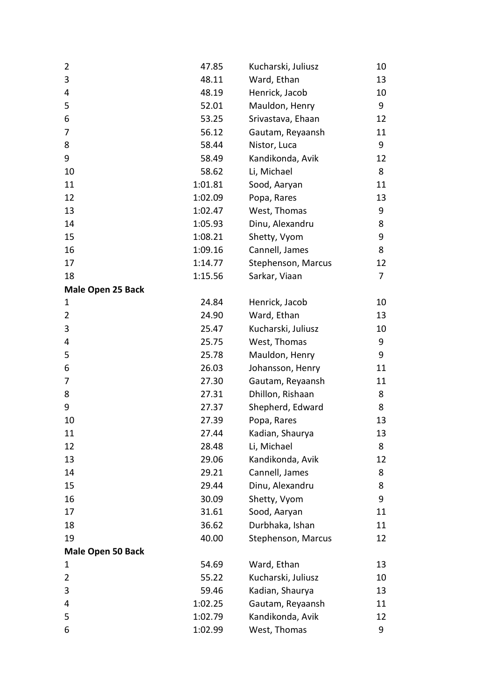| 2                        | 47.85   | Kucharski, Juliusz | 10 |
|--------------------------|---------|--------------------|----|
| 3                        | 48.11   | Ward, Ethan        | 13 |
| 4                        | 48.19   | Henrick, Jacob     | 10 |
| 5                        | 52.01   | Mauldon, Henry     | 9  |
| 6                        | 53.25   | Srivastava, Ehaan  | 12 |
| 7                        | 56.12   | Gautam, Reyaansh   | 11 |
| 8                        | 58.44   | Nistor, Luca       | 9  |
| 9                        | 58.49   | Kandikonda, Avik   | 12 |
| 10                       | 58.62   | Li, Michael        | 8  |
| 11                       | 1:01.81 | Sood, Aaryan       | 11 |
| 12                       | 1:02.09 | Popa, Rares        | 13 |
| 13                       | 1:02.47 | West, Thomas       | 9  |
| 14                       | 1:05.93 | Dinu, Alexandru    | 8  |
| 15                       | 1:08.21 | Shetty, Vyom       | 9  |
| 16                       | 1:09.16 | Cannell, James     | 8  |
| 17                       | 1:14.77 | Stephenson, Marcus | 12 |
| 18                       | 1:15.56 | Sarkar, Viaan      | 7  |
| <b>Male Open 25 Back</b> |         |                    |    |
| 1                        | 24.84   | Henrick, Jacob     | 10 |
| 2                        | 24.90   | Ward, Ethan        | 13 |
| 3                        | 25.47   | Kucharski, Juliusz | 10 |
| 4                        | 25.75   | West, Thomas       | 9  |
| 5                        | 25.78   | Mauldon, Henry     | 9  |
| 6                        | 26.03   | Johansson, Henry   | 11 |
| 7                        | 27.30   | Gautam, Reyaansh   | 11 |
| 8                        | 27.31   | Dhillon, Rishaan   | 8  |
| 9                        | 27.37   | Shepherd, Edward   | 8  |
| 10                       | 27.39   | Popa, Rares        | 13 |
| 11                       | 27.44   | Kadian, Shaurya    | 13 |
| 12                       | 28.48   | Li, Michael        | 8  |
| 13                       | 29.06   | Kandikonda, Avik   | 12 |
| 14                       | 29.21   | Cannell, James     | 8  |
| 15                       | 29.44   | Dinu, Alexandru    | 8  |
| 16                       | 30.09   | Shetty, Vyom       | 9  |
| 17                       | 31.61   | Sood, Aaryan       | 11 |
| 18                       | 36.62   | Durbhaka, Ishan    | 11 |
| 19                       | 40.00   | Stephenson, Marcus | 12 |
| <b>Male Open 50 Back</b> |         |                    |    |
| 1                        | 54.69   | Ward, Ethan        | 13 |
| 2                        | 55.22   | Kucharski, Juliusz | 10 |
| 3                        | 59.46   | Kadian, Shaurya    | 13 |
| 4                        | 1:02.25 | Gautam, Reyaansh   | 11 |
| 5                        | 1:02.79 | Kandikonda, Avik   | 12 |
| 6                        | 1:02.99 | West, Thomas       | 9  |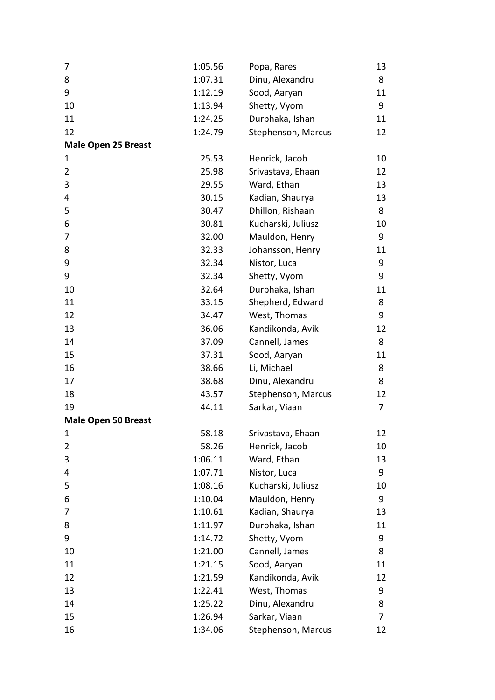| 7                          | 1:05.56 | Popa, Rares        | 13             |
|----------------------------|---------|--------------------|----------------|
| 8                          | 1:07.31 | Dinu, Alexandru    | 8              |
| 9                          | 1:12.19 | Sood, Aaryan       | 11             |
| 10                         | 1:13.94 | Shetty, Vyom       | 9              |
| 11                         | 1:24.25 | Durbhaka, Ishan    | 11             |
| 12                         | 1:24.79 | Stephenson, Marcus | 12             |
| <b>Male Open 25 Breast</b> |         |                    |                |
| 1                          | 25.53   | Henrick, Jacob     | 10             |
| $\overline{2}$             | 25.98   | Srivastava, Ehaan  | 12             |
| 3                          | 29.55   | Ward, Ethan        | 13             |
| 4                          | 30.15   | Kadian, Shaurya    | 13             |
| 5                          | 30.47   | Dhillon, Rishaan   | 8              |
| 6                          | 30.81   | Kucharski, Juliusz | 10             |
| 7                          | 32.00   | Mauldon, Henry     | 9              |
| 8                          | 32.33   | Johansson, Henry   | 11             |
| 9                          | 32.34   | Nistor, Luca       | 9              |
| 9                          | 32.34   | Shetty, Vyom       | 9              |
| 10                         | 32.64   | Durbhaka, Ishan    | 11             |
| 11                         | 33.15   | Shepherd, Edward   | 8              |
| 12                         | 34.47   | West, Thomas       | 9              |
| 13                         | 36.06   | Kandikonda, Avik   | 12             |
| 14                         | 37.09   | Cannell, James     | 8              |
| 15                         | 37.31   | Sood, Aaryan       | 11             |
| 16                         | 38.66   | Li, Michael        | 8              |
| 17                         | 38.68   | Dinu, Alexandru    | 8              |
| 18                         | 43.57   | Stephenson, Marcus | 12             |
| 19                         | 44.11   | Sarkar, Viaan      | $\overline{7}$ |
| <b>Male Open 50 Breast</b> |         |                    |                |
| 1                          | 58.18   | Srivastava, Ehaan  | 12             |
| 2                          | 58.26   | Henrick, Jacob     | 10             |
| 3                          | 1:06.11 | Ward, Ethan        | 13             |
| 4                          | 1:07.71 | Nistor, Luca       | 9              |
| 5                          | 1:08.16 | Kucharski, Juliusz | 10             |
| 6                          | 1:10.04 | Mauldon, Henry     | 9              |
| 7                          | 1:10.61 | Kadian, Shaurya    | 13             |
| 8                          | 1:11.97 | Durbhaka, Ishan    | 11             |
| 9                          | 1:14.72 | Shetty, Vyom       | 9              |
| 10                         | 1:21.00 | Cannell, James     | 8              |
| 11                         | 1:21.15 | Sood, Aaryan       | 11             |
| 12                         | 1:21.59 | Kandikonda, Avik   | 12             |
| 13                         | 1:22.41 | West, Thomas       | 9              |
| 14                         | 1:25.22 | Dinu, Alexandru    | 8              |
| 15                         | 1:26.94 | Sarkar, Viaan      | 7              |
| 16                         | 1:34.06 | Stephenson, Marcus | 12             |